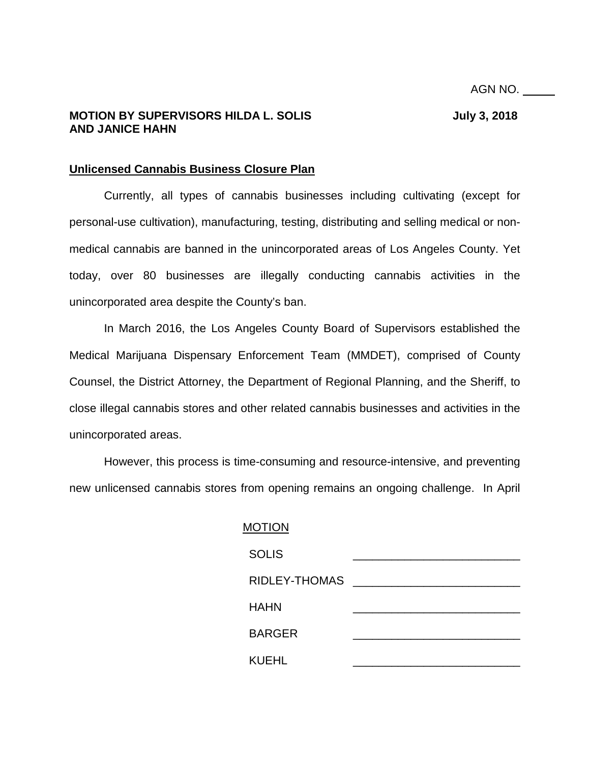# **MOTION BY SUPERVISORS HILDA L. SOLIS SUPERVISORS HILDA L. SOLIS AND JANICE HAHN**

# **Unlicensed Cannabis Business Closure Plan**

Currently, all types of cannabis businesses including cultivating (except for personal-use cultivation), manufacturing, testing, distributing and selling medical or nonmedical cannabis are banned in the unincorporated areas of Los Angeles County. Yet today, over 80 businesses are illegally conducting cannabis activities in the unincorporated area despite the County's ban.

In March 2016, the Los Angeles County Board of Supervisors established the Medical Marijuana Dispensary Enforcement Team (MMDET), comprised of County Counsel, the District Attorney, the Department of Regional Planning, and the Sheriff, to close illegal cannabis stores and other related cannabis businesses and activities in the unincorporated areas.

However, this process is time-consuming and resource-intensive, and preventing new unlicensed cannabis stores from opening remains an ongoing challenge. In April

| <b>MOTION</b> |  |  |
|---------------|--|--|
| <b>SOLIS</b>  |  |  |
| RIDLEY-THOMAS |  |  |
| <b>HAHN</b>   |  |  |
| <b>BARGER</b> |  |  |
| <b>KUEHL</b>  |  |  |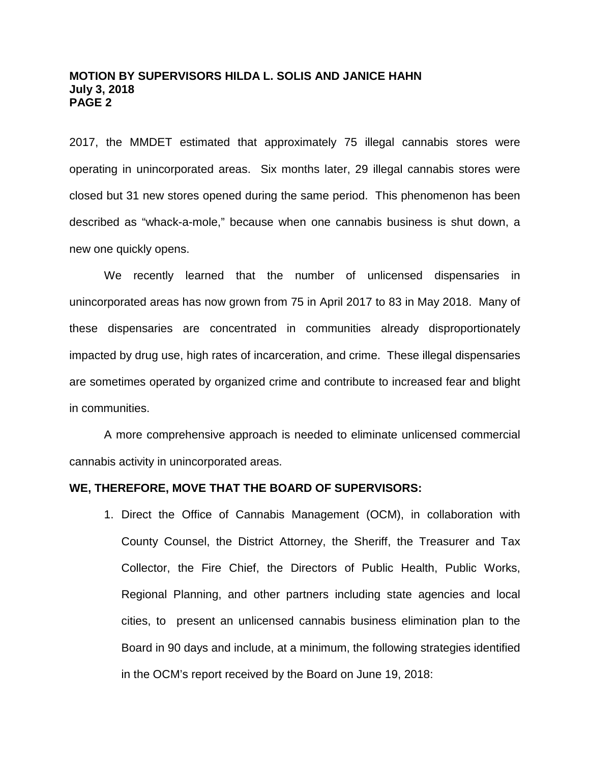2017, the MMDET estimated that approximately 75 illegal cannabis stores were operating in unincorporated areas. Six months later, 29 illegal cannabis stores were closed but 31 new stores opened during the same period. This phenomenon has been described as "whack-a-mole," because when one cannabis business is shut down, a new one quickly opens.

We recently learned that the number of unlicensed dispensaries in unincorporated areas has now grown from 75 in April 2017 to 83 in May 2018. Many of these dispensaries are concentrated in communities already disproportionately impacted by drug use, high rates of incarceration, and crime. These illegal dispensaries are sometimes operated by organized crime and contribute to increased fear and blight in communities.

A more comprehensive approach is needed to eliminate unlicensed commercial cannabis activity in unincorporated areas.

### **WE, THEREFORE, MOVE THAT THE BOARD OF SUPERVISORS:**

1. Direct the Office of Cannabis Management (OCM), in collaboration with County Counsel, the District Attorney, the Sheriff, the Treasurer and Tax Collector, the Fire Chief, the Directors of Public Health, Public Works, Regional Planning, and other partners including state agencies and local cities, to present an unlicensed cannabis business elimination plan to the Board in 90 days and include, at a minimum, the following strategies identified in the OCM's report received by the Board on June 19, 2018: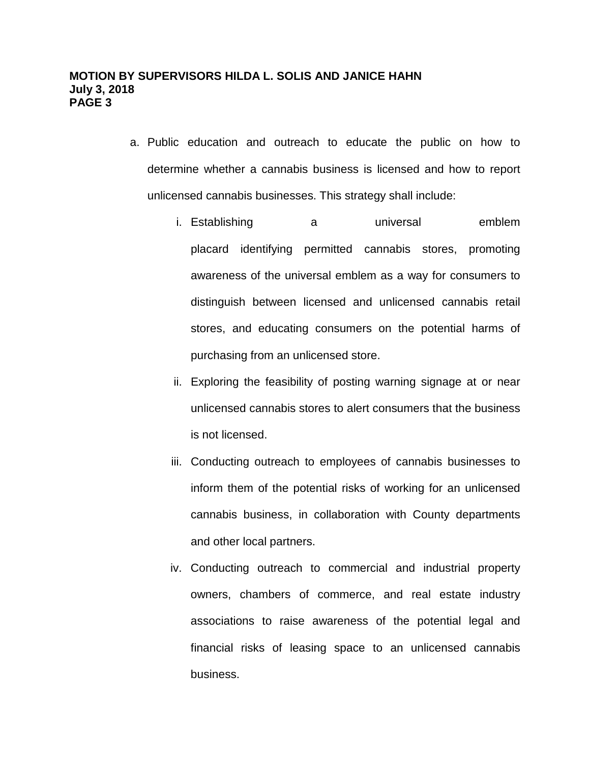- a. Public education and outreach to educate the public on how to determine whether a cannabis business is licensed and how to report unlicensed cannabis businesses. This strategy shall include:
	- i. Establishing a universal emblem placard identifying permitted cannabis stores, promoting awareness of the universal emblem as a way for consumers to distinguish between licensed and unlicensed cannabis retail stores, and educating consumers on the potential harms of purchasing from an unlicensed store.
	- ii. Exploring the feasibility of posting warning signage at or near unlicensed cannabis stores to alert consumers that the business is not licensed.
	- iii. Conducting outreach to employees of cannabis businesses to inform them of the potential risks of working for an unlicensed cannabis business, in collaboration with County departments and other local partners.
	- iv. Conducting outreach to commercial and industrial property owners, chambers of commerce, and real estate industry associations to raise awareness of the potential legal and financial risks of leasing space to an unlicensed cannabis business.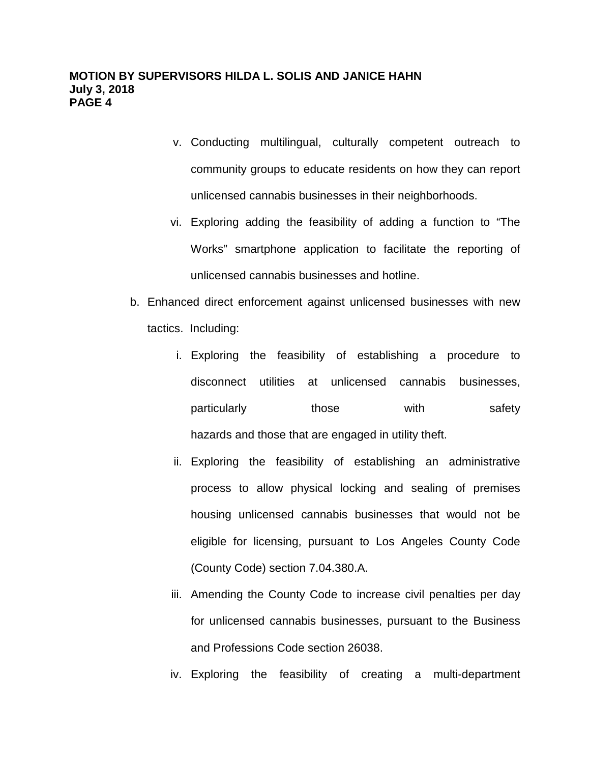- v. Conducting multilingual, culturally competent outreach to community groups to educate residents on how they can report unlicensed cannabis businesses in their neighborhoods.
- vi. Exploring adding the feasibility of adding a function to "The Works" smartphone application to facilitate the reporting of unlicensed cannabis businesses and hotline.
- b. Enhanced direct enforcement against unlicensed businesses with new tactics. Including:
	- i. Exploring the feasibility of establishing a procedure to disconnect utilities at unlicensed cannabis businesses, particularly those with safety hazards and those that are engaged in utility theft.
	- ii. Exploring the feasibility of establishing an administrative process to allow physical locking and sealing of premises housing unlicensed cannabis businesses that would not be eligible for licensing, pursuant to Los Angeles County Code (County Code) section 7.04.380.A.
	- iii. Amending the County Code to increase civil penalties per day for unlicensed cannabis businesses, pursuant to the Business and Professions Code section 26038.
	- iv. Exploring the feasibility of creating a multi-department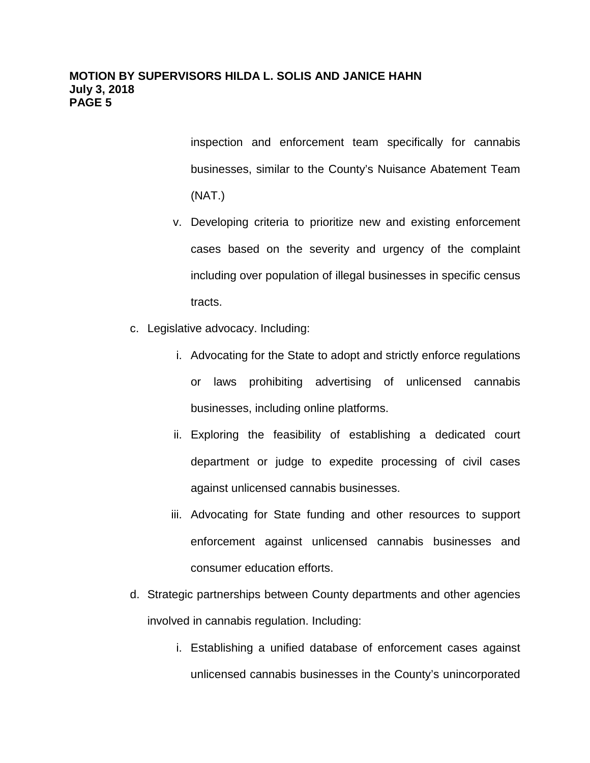inspection and enforcement team specifically for cannabis businesses, similar to the County's Nuisance Abatement Team (NAT.)

- v. Developing criteria to prioritize new and existing enforcement cases based on the severity and urgency of the complaint including over population of illegal businesses in specific census tracts.
- c. Legislative advocacy. Including:
	- i. Advocating for the State to adopt and strictly enforce regulations or laws prohibiting advertising of unlicensed cannabis businesses, including online platforms.
	- ii. Exploring the feasibility of establishing a dedicated court department or judge to expedite processing of civil cases against unlicensed cannabis businesses.
	- iii. Advocating for State funding and other resources to support enforcement against unlicensed cannabis businesses and consumer education efforts.
- d. Strategic partnerships between County departments and other agencies involved in cannabis regulation. Including:
	- i. Establishing a unified database of enforcement cases against unlicensed cannabis businesses in the County's unincorporated